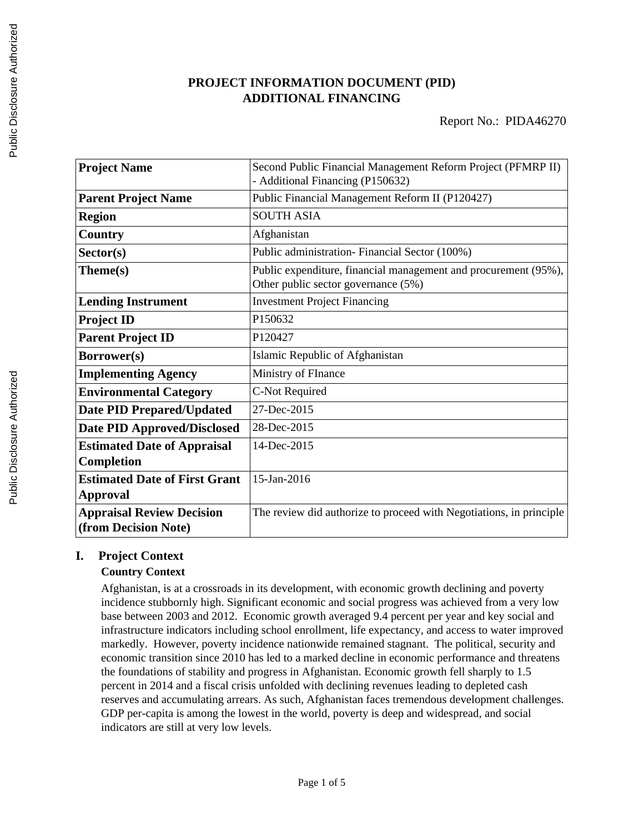# **PROJECT INFORMATION DOCUMENT (PID) ADDITIONAL FINANCING**

| <b>Project Name</b>                  | Second Public Financial Management Reform Project (PFMRP II)        |  |
|--------------------------------------|---------------------------------------------------------------------|--|
|                                      | - Additional Financing (P150632)                                    |  |
| <b>Parent Project Name</b>           | Public Financial Management Reform II (P120427)                     |  |
| <b>Region</b>                        | <b>SOUTH ASIA</b>                                                   |  |
| Country                              | Afghanistan                                                         |  |
| Sector(s)                            | Public administration- Financial Sector (100%)                      |  |
| Theme(s)                             | Public expenditure, financial management and procurement (95%),     |  |
|                                      | Other public sector governance (5%)                                 |  |
| <b>Lending Instrument</b>            | <b>Investment Project Financing</b>                                 |  |
| <b>Project ID</b>                    | P150632                                                             |  |
| <b>Parent Project ID</b>             | P120427                                                             |  |
| <b>Borrower(s)</b>                   | Islamic Republic of Afghanistan                                     |  |
| <b>Implementing Agency</b>           | Ministry of FInance                                                 |  |
| <b>Environmental Category</b>        | C-Not Required                                                      |  |
| <b>Date PID Prepared/Updated</b>     | 27-Dec-2015                                                         |  |
| <b>Date PID Approved/Disclosed</b>   | 28-Dec-2015                                                         |  |
| <b>Estimated Date of Appraisal</b>   | 14-Dec-2015                                                         |  |
| Completion                           |                                                                     |  |
| <b>Estimated Date of First Grant</b> | 15-Jan-2016                                                         |  |
| <b>Approval</b>                      |                                                                     |  |
| <b>Appraisal Review Decision</b>     | The review did authorize to proceed with Negotiations, in principle |  |
| (from Decision Note)                 |                                                                     |  |

# **I. Project Context**

# **Country Context**

Afghanistan, is at a crossroads in its development, with economic growth declining and poverty incidence stubbornly high. Significant economic and social progress was achieved from a very low base between 2003 and 2012. Economic growth averaged 9.4 percent per year and key social and infrastructure indicators including school enrollment, life expectancy, and access to water improved markedly. However, poverty incidence nationwide remained stagnant. The political, security and economic transition since 2010 has led to a marked decline in economic performance and threatens the foundations of stability and progress in Afghanistan. Economic growth fell sharply to 1.5 percent in 2014 and a fiscal crisis unfolded with declining revenues leading to depleted cash reserves and accumulating arrears. As such, Afghanistan faces tremendous development challenges. GDP per-capita is among the lowest in the world, poverty is deep and widespread, and social indicators are still at very low levels.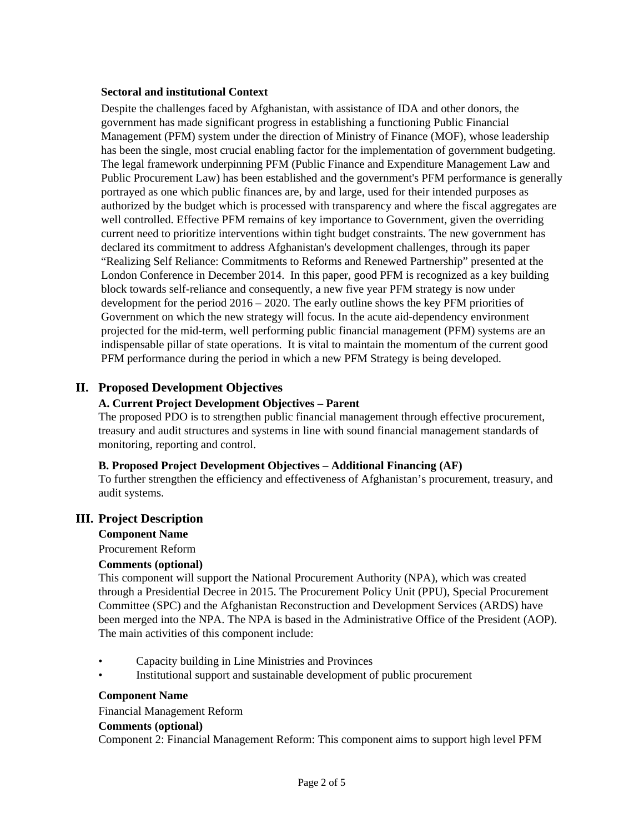#### **Sectoral and institutional Context**

Despite the challenges faced by Afghanistan, with assistance of IDA and other donors, the government has made significant progress in establishing a functioning Public Financial Management (PFM) system under the direction of Ministry of Finance (MOF), whose leadership has been the single, most crucial enabling factor for the implementation of government budgeting. The legal framework underpinning PFM (Public Finance and Expenditure Management Law and Public Procurement Law) has been established and the government's PFM performance is generally portrayed as one which public finances are, by and large, used for their intended purposes as authorized by the budget which is processed with transparency and where the fiscal aggregates are well controlled. Effective PFM remains of key importance to Government, given the overriding current need to prioritize interventions within tight budget constraints. The new government has declared its commitment to address Afghanistan's development challenges, through its paper "Realizing Self Reliance: Commitments to Reforms and Renewed Partnership" presented at the London Conference in December 2014. In this paper, good PFM is recognized as a key building block towards self-reliance and consequently, a new five year PFM strategy is now under development for the period 2016 – 2020. The early outline shows the key PFM priorities of Government on which the new strategy will focus. In the acute aid-dependency environment projected for the mid-term, well performing public financial management (PFM) systems are an indispensable pillar of state operations. It is vital to maintain the momentum of the current good PFM performance during the period in which a new PFM Strategy is being developed.

# **II. Proposed Development Objectives**

## **A. Current Project Development Objectives – Parent**

The proposed PDO is to strengthen public financial management through effective procurement, treasury and audit structures and systems in line with sound financial management standards of monitoring, reporting and control.

#### **B. Proposed Project Development Objectives – Additional Financing (AF)**

To further strengthen the efficiency and effectiveness of Afghanistan's procurement, treasury, and audit systems.

# **III. Project Description**

#### **Component Name**

Procurement Reform

#### **Comments (optional)**

This component will support the National Procurement Authority (NPA), which was created through a Presidential Decree in 2015. The Procurement Policy Unit (PPU), Special Procurement Committee (SPC) and the Afghanistan Reconstruction and Development Services (ARDS) have been merged into the NPA. The NPA is based in the Administrative Office of the President (AOP). The main activities of this component include:

- Capacity building in Line Ministries and Provinces
- Institutional support and sustainable development of public procurement

#### **Component Name**

#### Financial Management Reform

#### **Comments (optional)**

Component 2: Financial Management Reform: This component aims to support high level PFM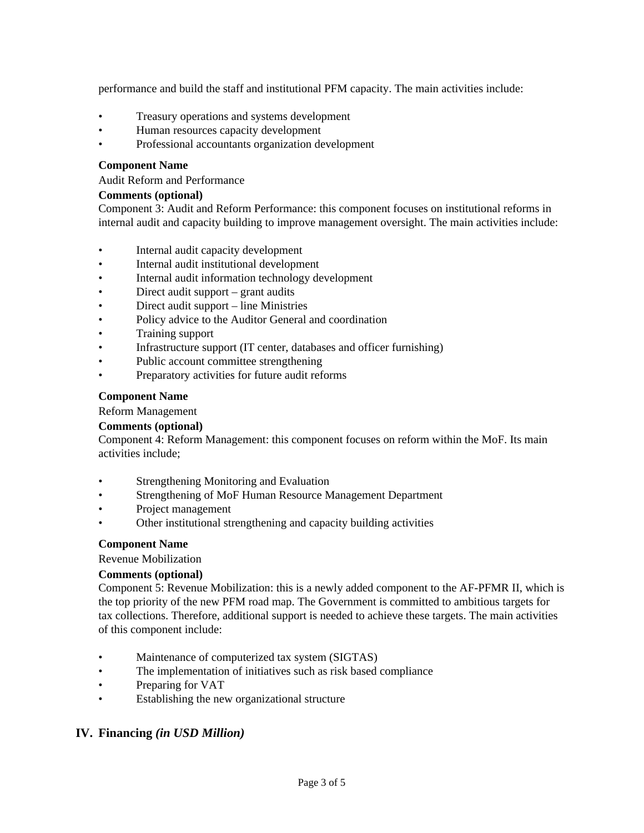performance and build the staff and institutional PFM capacity. The main activities include:

- Treasury operations and systems development
- Human resources capacity development
- Professional accountants organization development

#### **Component Name**

Audit Reform and Performance

#### **Comments (optional)**

Component 3: Audit and Reform Performance: this component focuses on institutional reforms in internal audit and capacity building to improve management oversight. The main activities include:

- Internal audit capacity development
- Internal audit institutional development
- Internal audit information technology development
- Direct audit support grant audits
- Direct audit support line Ministries
- Policy advice to the Auditor General and coordination
- Training support
- Infrastructure support (IT center, databases and officer furnishing)
- Public account committee strengthening
- Preparatory activities for future audit reforms

#### **Component Name**

Reform Management

#### **Comments (optional)**

Component 4: Reform Management: this component focuses on reform within the MoF. Its main activities include;

- Strengthening Monitoring and Evaluation
- Strengthening of MoF Human Resource Management Department
- Project management
- Other institutional strengthening and capacity building activities

#### **Component Name**

Revenue Mobilization

#### **Comments (optional)**

Component 5: Revenue Mobilization: this is a newly added component to the AF-PFMR II, which is the top priority of the new PFM road map. The Government is committed to ambitious targets for tax collections. Therefore, additional support is needed to achieve these targets. The main activities of this component include:

- Maintenance of computerized tax system (SIGTAS)
- The implementation of initiatives such as risk based compliance
- Preparing for VAT
- Establishing the new organizational structure

# **IV. Financing** *(in USD Million)*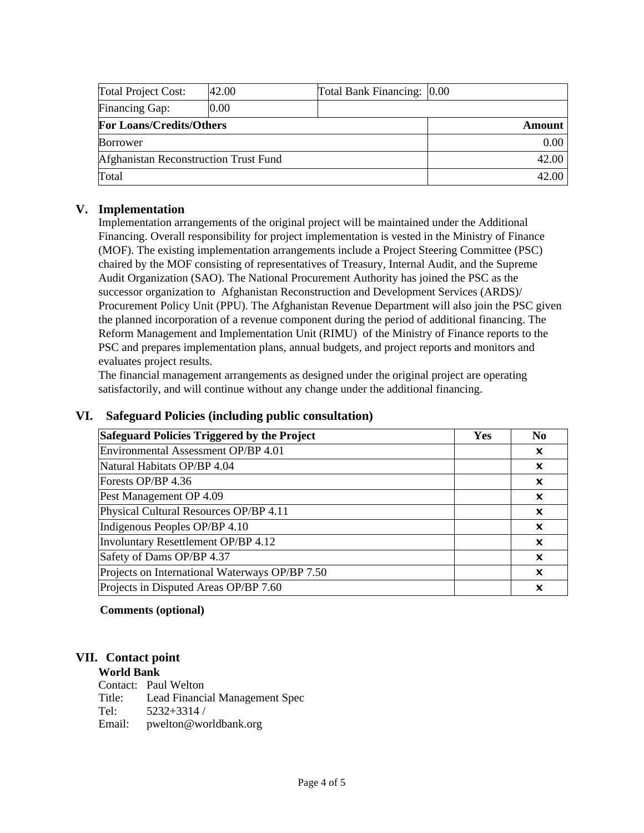| Total Project Cost:                   | 42.00 | Total Bank Financing: 0.00 |       |
|---------------------------------------|-------|----------------------------|-------|
| Financing Gap:                        | 0.00  |                            |       |
| <b>For Loans/Credits/Others</b>       |       | Amount                     |       |
| <b>Borrower</b>                       |       |                            | 0.00  |
| Afghanistan Reconstruction Trust Fund |       |                            | 42.00 |
| Total                                 |       | 42.00                      |       |

# **V. Implementation**

Implementation arrangements of the original project will be maintained under the Additional Financing. Overall responsibility for project implementation is vested in the Ministry of Finance (MOF). The existing implementation arrangements include a Project Steering Committee (PSC) chaired by the MOF consisting of representatives of Treasury, Internal Audit, and the Supreme Audit Organization (SAO). The National Procurement Authority has joined the PSC as the successor organization to Afghanistan Reconstruction and Development Services (ARDS)/ Procurement Policy Unit (PPU). The Afghanistan Revenue Department will also join the PSC given the planned incorporation of a revenue component during the period of additional financing. The Reform Management and Implementation Unit (RIMU) of the Ministry of Finance reports to the PSC and prepares implementation plans, annual budgets, and project reports and monitors and evaluates project results.

The financial management arrangements as designed under the original project are operating satisfactorily, and will continue without any change under the additional financing.

| <b>Safeguard Policies Triggered by the Project</b> | Yes | N <sub>0</sub> |
|----------------------------------------------------|-----|----------------|
| Environmental Assessment OP/BP 4.01                |     | x              |
| Natural Habitats OP/BP 4.04                        |     | x              |
| Forests OP/BP 4.36                                 |     | ×              |
| Pest Management OP 4.09                            |     | ×              |
| Physical Cultural Resources OP/BP 4.11             |     | ×              |
| Indigenous Peoples OP/BP 4.10                      |     | ×              |
| Involuntary Resettlement OP/BP 4.12                |     | ×              |
| Safety of Dams OP/BP 4.37                          |     | ×              |
| Projects on International Waterways OP/BP 7.50     |     | ×              |
| Projects in Disputed Areas OP/BP 7.60              |     | x              |

# **VI. Safeguard Policies (including public consultation)**

# **Comments (optional)**

# **VII. Contact point**

## **World Bank**

|        | Contact: Paul Welton           |
|--------|--------------------------------|
| Title: | Lead Financial Management Spec |
| Tel:   | $5232+3314/$                   |
| Email: | pwelton@worldbank.org          |